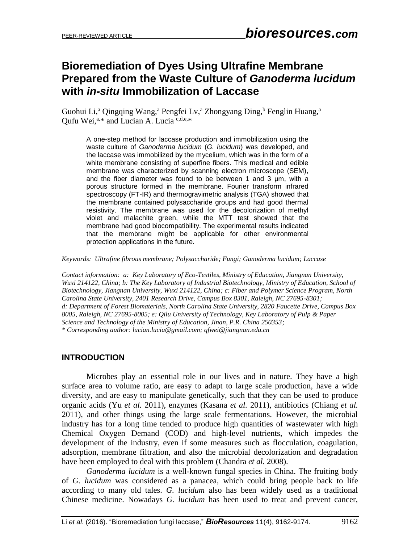# **Bioremediation of Dyes Using Ultrafine Membrane Prepared from the Waste Culture of** *Ganoderma lucidum* **with** *in-situ* **Immobilization of Laccase**

Guohui Li,<sup>a</sup> Qingqing Wang,<sup>a</sup> Pengfei Ly,<sup>a</sup> Zhongyang Ding,<sup>b</sup> Fenglin Huang,<sup>a</sup> Qufu Wei,<sup>a,\*</sup> and Lucian A. Lucia<sup>c,d,e,\*</sup>

A one-step method for laccase production and immobilization using the waste culture of *Ganoderma lucidum* (*G. lucidum*) was developed, and the laccase was immobilized by the mycelium, which was in the form of a white membrane consisting of superfine fibers. This medical and edible membrane was characterized by scanning electron microscope (SEM), and the fiber diameter was found to be between 1 and 3 μm, with a porous structure formed in the membrane. Fourier transform infrared spectroscopy (FT-IR) and thermogravimetric analysis (TGA) showed that the membrane contained polysaccharide groups and had good thermal resistivity. The membrane was used for the decolorization of methyl violet and malachite green, while the MTT test showed that the membrane had good biocompatibility. The experimental results indicated that the membrane might be applicable for other environmental protection applications in the future.

*Keywords: Ultrafine fibrous membrane; Polysaccharide; Fungi; Ganoderma lucidum; Laccase*

*Contact information: a: Key Laboratory of Eco-Textiles, Ministry of Education, Jiangnan University, Wuxi 214122, China; b: The Key Laboratory of Industrial Biotechnology, Ministry of Education, School of Biotechnology, Jiangnan University, Wuxi 214122, China; c: Fiber and Polymer Science Program, North Carolina State University, 2401 Research Drive, Campus Box 8301, Raleigh, NC 27695-8301; d: Department of Forest Biomaterials, North Carolina State University, 2820 Faucette Drive, Campus Box 8005, Raleigh, NC 27695-8005; e: Qilu University of Technology, Key Laboratory of Pulp & Paper Science and Technology of the Ministry of Education, Jinan, P.R. China 250353; \* Corresponding author: lucian.lucia@gmail.com; qfwei@jiangnan.edu.cn*

#### **INTRODUCTION**

Microbes play an essential role in our lives and in nature. They have a high surface area to volume ratio, are easy to adapt to large scale production, have a wide diversity, and are easy to manipulate genetically, such that they can be used to produce organic acids (Yu *et al.* 2011), enzymes (Kasana *et al.* 2011), antibiotics (Chiang *et al.* 2011), and other things using the large scale fermentations. However, the microbial industry has for a long time tended to produce high quantities of wastewater with high Chemical Oxygen Demand (COD) and high-level nutrients, which impedes the development of the industry, even if some measures such as flocculation, coagulation, adsorption, membrane filtration, and also the microbial decolorization and degradation have been employed to deal with this problem (Chandra *et al.* 2008).

 *Ganoderma lucidum* is a well-known fungal species in China. The fruiting body of *G. lucidum* was considered as a panacea, which could bring people back to life according to many old tales. *G. lucidum* also has been widely used as a traditional Chinese medicine. Nowadays *G. lucidum* has been used to treat and prevent cancer,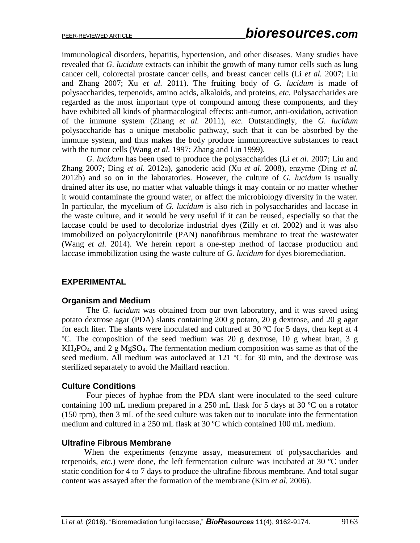immunological disorders, hepatitis, hypertension, and other diseases. Many studies have revealed that *G. lucidum* extracts can inhibit the growth of many tumor cells such as lung cancer cell, colorectal prostate cancer cells, and breast cancer cells (Li *et al.* 2007; Liu and Zhang 2007; Xu *et al.* 2011). The fruiting body of *G. lucidum* is made of polysaccharides, terpenoids, amino acids, alkaloids, and proteins, *etc*. Polysaccharides are regarded as the most important type of compound among these components, and they have exhibited all kinds of pharmacological effects: anti-tumor, anti-oxidation, activation of the immune system (Zhang *et al.* 2011), *etc*. Outstandingly, the *G. lucidum* polysaccharide has a unique metabolic pathway, such that it can be absorbed by the immune system, and thus makes the body produce immunoreactive substances to react with the tumor cells (Wang *et al.* 1997; Zhang and Lin 1999).

 *G. lucidum* has been used to produce the polysaccharides (Li *et al.* 2007; Liu and Zhang 2007; Ding *et al.* 2012a), ganoderic acid (Xu *et al.* 2008), enzyme (Ding *et al.* 2012b) and so on in the laboratories. However, the culture of *G. lucidum* is usually drained after its use, no matter what valuable things it may contain or no matter whether it would contaminate the ground water, or affect the microbiology diversity in the water. In particular, the mycelium of *G. lucidum* is also rich in polysaccharides and laccase in the waste culture, and it would be very useful if it can be reused, especially so that the laccase could be used to decolorize industrial dyes (Zilly *et al.* 2002) and it was also immobilized on polyacrylonitrile (PAN) nanofibrous membrane to treat the wastewater (Wang *et al.* 2014). We herein report a one-step method of laccase production and laccase immobilization using the waste culture of *G. lucidum* for dyes bioremediation.

#### **EXPERIMENTAL**

#### **Organism and Medium**

The *G. lucidum* was obtained from our own laboratory, and it was saved using potato dextrose agar (PDA) slants containing 200 g potato, 20 g dextrose, and 20 g agar for each liter. The slants were inoculated and cultured at 30 °C for 5 days, then kept at 4 ºC. The composition of the seed medium was 20 g dextrose, 10 g wheat bran, 3 g KH2PO4, and 2 g MgSO4. The fermentation medium composition was same as that of the seed medium. All medium was autoclaved at 121 °C for 30 min, and the dextrose was sterilized separately to avoid the Maillard reaction.

#### **Culture Conditions**

Four pieces of hyphae from the PDA slant were inoculated to the seed culture containing 100 mL medium prepared in a 250 mL flask for 5 days at 30 ºC on a rotator (150 rpm), then 3 mL of the seed culture was taken out to inoculate into the fermentation medium and cultured in a 250 mL flask at 30 ºC which contained 100 mL medium.

#### **Ultrafine Fibrous Membrane**

 When the experiments (enzyme assay, measurement of polysaccharides and terpenoids, *etc*.) were done, the left fermentation culture was incubated at 30 ºC under static condition for 4 to 7 days to produce the ultrafine fibrous membrane. And total sugar content was assayed after the formation of the membrane (Kim *et al.* 2006).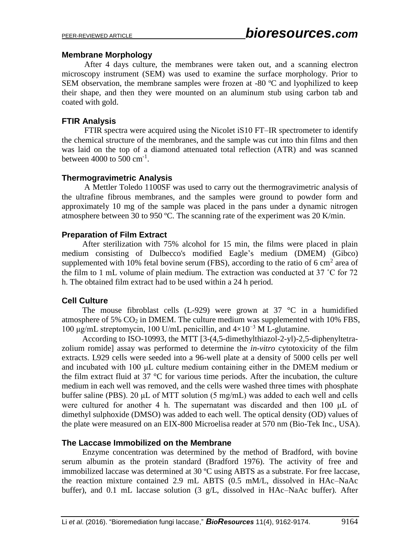#### **Membrane Morphology**

 After 4 days culture, the membranes were taken out, and a scanning electron microscopy instrument (SEM) was used to examine the surface morphology. Prior to SEM observation, the membrane samples were frozen at -80 °C and lyophilized to keep their shape, and then they were mounted on an aluminum stub using carbon tab and coated with gold.

#### **FTIR Analysis**

 FTIR spectra were acquired using the Nicolet iS10 FT–IR spectrometer to identify the chemical structure of the membranes, and the sample was cut into thin films and then was laid on the top of a diamond attenuated total reflection (ATR) and was scanned between  $4000$  to  $500 \text{ cm}^{-1}$ .

### **Thermogravimetric Analysis**

 A Mettler Toledo 1100SF was used to carry out the thermogravimetric analysis of the ultrafine fibrous membranes, and the samples were ground to powder form and approximately 10 mg of the sample was placed in the pans under a dynamic nitrogen atmosphere between 30 to 950 ºC. The scanning rate of the experiment was 20 K/min.

### **Preparation of Film Extract**

 After sterilization with 75% alcohol for 15 min, the films were placed in plain medium consisting of Dulbecco's modified Eagle's medium (DMEM) (Gibco) supplemented with 10% fetal bovine serum (FBS), according to the ratio of 6 cm<sup>2</sup> area of the film to 1 mL volume of plain medium. The extraction was conducted at 37 ˚C for 72 h. The obtained film extract had to be used within a 24 h period.

#### **Cell Culture**

The mouse fibroblast cells (L-929) were grown at 37  $\degree$ C in a humidified atmosphere of 5%  $CO<sub>2</sub>$  in DMEM. The culture medium was supplemented with 10% FBS, 100 μg/mL streptomycin, 100 U/mL penicillin, and  $4\times10^{-3}$  M L-glutamine.

 According to ISO-10993, the MTT [3-(4,5-dimethylthiazol-2-yl)-2,5-diphenyltetrazolium romide] assay was performed to determine the *in-vitro* cytotoxicity of the film extracts. L929 cells were seeded into a 96-well plate at a density of 5000 cells per well and incubated with 100 μL culture medium containing either in the DMEM medium or the film extract fluid at 37 °C for various time periods. After the incubation, the culture medium in each well was removed, and the cells were washed three times with phosphate buffer saline (PBS). 20  $\mu$ L of MTT solution (5 mg/mL) was added to each well and cells were cultured for another 4 h. The supernatant was discarded and then 100 μL of dimethyl sulphoxide (DMSO) was added to each well. The optical density (OD) values of the plate were measured on an EIX-800 Microelisa reader at 570 nm (Bio-Tek Inc., USA).

#### **The Laccase Immobilized on the Membrane**

 Enzyme concentration was determined by the method of Bradford, with bovine serum albumin as the protein standard (Bradford 1976). The activity of free and immobilized laccase was determined at 30 ºC using ABTS as a substrate. For free laccase, the reaction mixture contained 2.9 mL ABTS (0.5 mM/L, dissolved in HAc–NaAc buffer), and 0.1 mL laccase solution (3 g/L, dissolved in HAc–NaAc buffer). After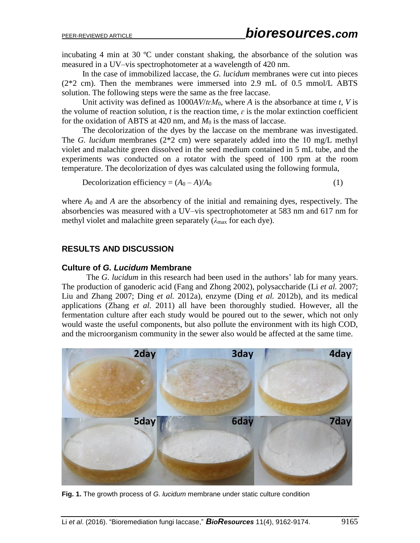incubating 4 min at 30 ºC under constant shaking, the absorbance of the solution was measured in a UV–vis spectrophotometer at a wavelength of 420 nm.

 In the case of immobilized laccase, the *G. lucidum* membranes were cut into pieces (2\*2 cm). Then the membranes were immersed into 2.9 mL of 0.5 mmol/L ABTS solution. The following steps were the same as the free laccase.

 Unit activity was defined as 1000*AV*/*tɛM*0, where *A* is the absorbance at time *t*, *V* is the volume of reaction solution,  $t$  is the reaction time,  $\varepsilon$  is the molar extinction coefficient for the oxidation of ABTS at  $420$  nm, and  $M_0$  is the mass of laccase.

 The decolorization of the dyes by the laccase on the membrane was investigated. The *G. lucidum* membranes (2\*2 cm) were separately added into the 10 mg/L methyl violet and malachite green dissolved in the seed medium contained in 5 mL tube, and the experiments was conducted on a rotator with the speed of 100 rpm at the room temperature. The decolorization of dyes was calculated using the following formula,

Decolorization efficiency =  $(A_0 - A)/A_0$  (1)

where  $A_0$  and  $A$  are the absorbency of the initial and remaining dyes, respectively. The absorbencies was measured with a UV–vis spectrophotometer at 583 nm and 617 nm for methyl violet and malachite green separately (*λ*max for each dye).

#### **RESULTS AND DISCUSSION**

#### **Culture of** *G. Lucidum* **Membrane**

 The *G. lucidum* in this research had been used in the authors' lab for many years. The production of ganoderic acid (Fang and Zhong 2002), polysaccharide (Li *et al.* 2007; Liu and Zhang 2007; Ding *et al.* 2012a), enzyme (Ding *et al.* 2012b), and its medical applications (Zhang *et al.* 2011) all have been thoroughly studied. However, all the fermentation culture after each study would be poured out to the sewer, which not only would waste the useful components, but also pollute the environment with its high COD, and the microorganism community in the sewer also would be affected at the same time.



**Fig. 1.** The growth process of *G. lucidum* membrane under static culture condition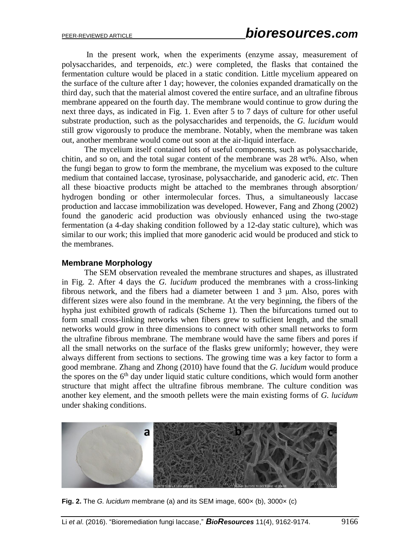In the present work, when the experiments (enzyme assay, measurement of polysaccharides, and terpenoids, *etc*.) were completed, the flasks that contained the fermentation culture would be placed in a static condition. Little mycelium appeared on the surface of the culture after 1 day; however, the colonies expanded dramatically on the third day, such that the material almost covered the entire surface, and an ultrafine fibrous membrane appeared on the fourth day. The membrane would continue to grow during the next three days, as indicated in Fig. 1. Even after 5 to 7 days of culture for other useful substrate production, such as the polysaccharides and terpenoids, the *G. lucidum* would still grow vigorously to produce the membrane. Notably, when the membrane was taken out, another membrane would come out soon at the air-liquid interface.

 The mycelium itself contained lots of useful components, such as polysaccharide, chitin, and so on, and the total sugar content of the membrane was 28 wt%. Also, when the fungi began to grow to form the membrane, the mycelium was exposed to the culture medium that contained laccase, tyrosinase, polysaccharide, and ganoderic acid, *etc*. Then all these bioactive products might be attached to the membranes through absorption/ hydrogen bonding or other intermolecular forces. Thus, a simultaneously laccase production and laccase immobilization was developed. However, Fang and Zhong (2002) found the ganoderic acid production was obviously enhanced using the two-stage fermentation (a 4-day shaking condition followed by a 12-day static culture), which was similar to our work; this implied that more ganoderic acid would be produced and stick to the membranes.

#### **Membrane Morphology**

 The SEM observation revealed the membrane structures and shapes, as illustrated in Fig. 2. After 4 days the *G. lucidum* produced the membranes with a cross-linking fibrous network, and the fibers had a diameter between 1 and 3 μm. Also, pores with different sizes were also found in the membrane. At the very beginning, the fibers of the hypha just exhibited growth of radicals (Scheme 1). Then the bifurcations turned out to form small cross-linking networks when fibers grew to sufficient length, and the small networks would grow in three dimensions to connect with other small networks to form the ultrafine fibrous membrane. The membrane would have the same fibers and pores if all the small networks on the surface of the flasks grew uniformly; however, they were always different from sections to sections. The growing time was a key factor to form a good membrane. Zhang and Zhong (2010) have found that the *G. lucidum* would produce the spores on the  $6<sup>th</sup>$  day under liquid static culture conditions, which would form another structure that might affect the ultrafine fibrous membrane. The culture condition was another key element, and the smooth pellets were the main existing forms of *G. lucidum* under shaking conditions.



**Fig. 2.** The *G. lucidum* membrane (a) and its SEM image, 600× (b), 3000× (c)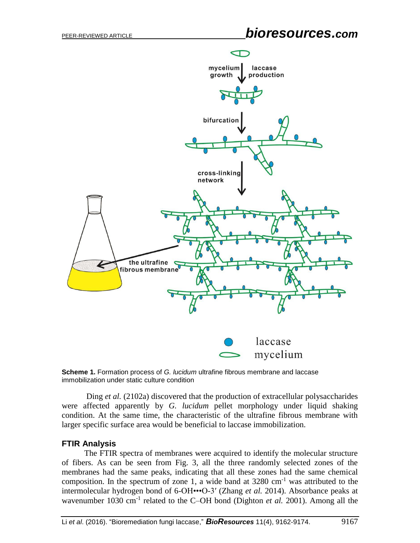# PEER-REVIEWED ARTICLE *bioresources.com*



**Scheme 1.** Formation process of *G. lucidum* ultrafine fibrous membrane and laccase immobilization under static culture condition

Ding *et al.* (2102a) discovered that the production of extracellular polysaccharides were affected apparently by *G. lucidum* pellet morphology under liquid shaking condition. At the same time, the characteristic of the ultrafine fibrous membrane with larger specific surface area would be beneficial to laccase immobilization.

#### **FTIR Analysis**

 The FTIR spectra of membranes were acquired to identify the molecular structure of fibers. As can be seen from Fig. 3, all the three randomly selected zones of the membranes had the same peaks, indicating that all these zones had the same chemical composition. In the spectrum of zone 1, a wide band at  $3280 \text{ cm}^{-1}$  was attributed to the intermolecular hydrogen bond of 6-OH•••O-3′ (Zhang *et al.* 2014). Absorbance peaks at wavenumber 1030 cm<sup>-1</sup> related to the C-OH bond (Dighton *et al.* 2001). Among all the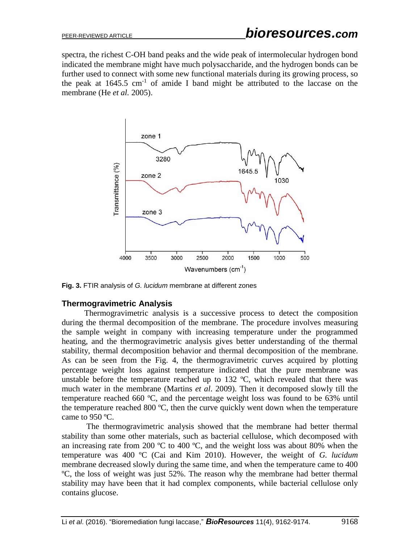spectra, the richest C-OH band peaks and the wide peak of intermolecular hydrogen bond indicated the membrane might have much polysaccharide, and the hydrogen bonds can be further used to connect with some new functional materials during its growing process, so the peak at  $1645.5 \text{ cm}^{-1}$  of amide I band might be attributed to the laccase on the membrane (He *et al.* 2005).



**Fig. 3.** FTIR analysis of *G. lucidum* membrane at different zones

#### **Thermogravimetric Analysis**

 Thermogravimetric analysis is a successive process to detect the composition during the thermal decomposition of the membrane. The procedure involves measuring the sample weight in company with increasing temperature under the programmed heating, and the thermogravimetric analysis gives better understanding of the thermal stability, thermal decomposition behavior and thermal decomposition of the membrane. As can be seen from the Fig. 4, the thermogravimetric curves acquired by plotting percentage weight loss against temperature indicated that the pure membrane was unstable before the temperature reached up to  $132 \text{ °C}$ , which revealed that there was much water in the membrane (Martins *et al*. 2009). Then it decomposed slowly till the temperature reached 660 ºC, and the percentage weight loss was found to be 63% until the temperature reached 800 ºC, then the curve quickly went down when the temperature came to 950 ºC.

The thermogravimetric analysis showed that the membrane had better thermal stability than some other materials, such as bacterial cellulose, which decomposed with an increasing rate from 200 ºC to 400 ºC, and the weight loss was about 80% when the temperature was 400 ºC (Cai and Kim 2010). However, the weight of *G. lucidum* membrane decreased slowly during the same time, and when the temperature came to 400 ºC, the loss of weight was just 52%. The reason why the membrane had better thermal stability may have been that it had complex components, while bacterial cellulose only contains glucose.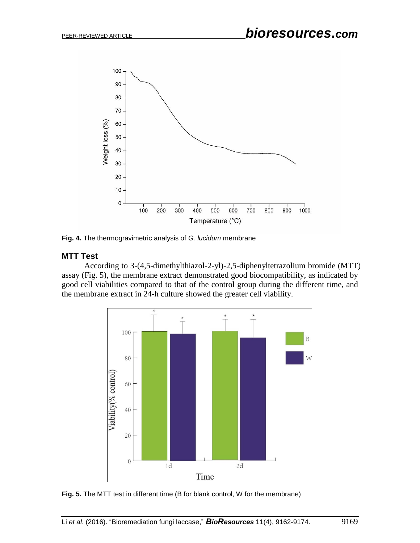

**Fig. 4.** The thermogravimetric analysis of *G. lucidum* membrane

#### **MTT Test**

 According to 3-(4,5-dimethylthiazol-2-yl)-2,5-diphenyltetrazolium bromide (MTT) assay (Fig. 5), the membrane extract demonstrated good biocompatibility, as indicated by good cell viabilities compared to that of the control group during the different time, and the membrane extract in 24-h culture showed the greater cell viability.



**Fig. 5.** The MTT test in different time (B for blank control, W for the membrane)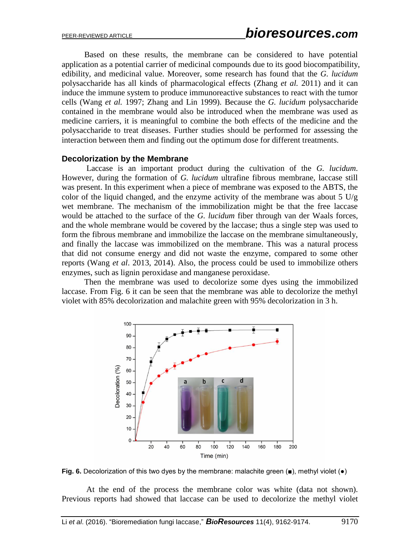Based on these results, the membrane can be considered to have potential application as a potential carrier of medicinal compounds due to its good biocompatibility, edibility, and medicinal value. Moreover, some research has found that the *G. lucidum* polysaccharide has all kinds of pharmacological effects (Zhang *et al.* 2011) and it can induce the immune system to produce immunoreactive substances to react with the tumor cells (Wang *et al.* 1997; Zhang and Lin 1999). Because the *G. lucidum* polysaccharide contained in the membrane would also be introduced when the membrane was used as medicine carriers, it is meaningful to combine the both effects of the medicine and the polysaccharide to treat diseases. Further studies should be performed for assessing the interaction between them and finding out the optimum dose for different treatments.

#### **Decolorization by the Membrane**

 Laccase is an important product during the cultivation of the *G. lucidum*. However, during the formation of *G. lucidum* ultrafine fibrous membrane, laccase still was present. In this experiment when a piece of membrane was exposed to the ABTS, the color of the liquid changed, and the enzyme activity of the membrane was about  $5 \text{ U/g}$ wet membrane. The mechanism of the immobilization might be that the free laccase would be attached to the surface of the *G. lucidum* fiber through van der Waals forces, and the whole membrane would be covered by the laccase; thus a single step was used to form the fibrous membrane and immobilize the laccase on the membrane simultaneously, and finally the laccase was immobilized on the membrane. This was a natural process that did not consume energy and did not waste the enzyme, compared to some other reports (Wang *et al*. 2013, 2014). Also, the process could be used to immobilize others enzymes, such as lignin peroxidase and manganese peroxidase.

 Then the membrane was used to decolorize some dyes using the immobilized laccase. From Fig. 6 it can be seen that the membrane was able to decolorize the methyl violet with 85% decolorization and malachite green with 95% decolorization in 3 h.



**Fig. 6.** Decolorization of this two dyes by the membrane: malachite green (■), methyl violet (●)

At the end of the process the membrane color was white (data not shown). Previous reports had showed that laccase can be used to decolorize the methyl violet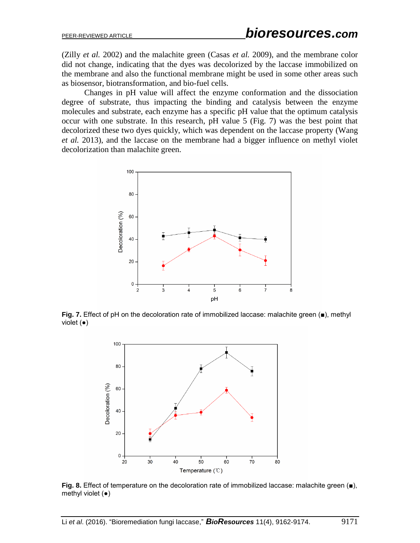(Zilly *et al.* 2002) and the malachite green (Casas *et al.* 2009), and the membrane color did not change, indicating that the dyes was decolorized by the laccase immobilized on the membrane and also the functional membrane might be used in some other areas such as biosensor, biotransformation, and bio-fuel cells.

 Changes in pH value will affect the enzyme conformation and the dissociation degree of substrate, thus impacting the binding and catalysis between the enzyme molecules and substrate, each enzyme has a specific pH value that the optimum catalysis occur with one substrate. In this research, pH value 5 (Fig. 7) was the best point that decolorized these two dyes quickly, which was dependent on the laccase property (Wang *et al.* 2013), and the laccase on the membrane had a bigger influence on methyl violet decolorization than malachite green.



**Fig. 7.** Effect of pH on the decoloration rate of immobilized laccase: malachite green (■), methyl violet (●)



l **Fig. 8.** Effect of temperature on the decoloration rate of immobilized laccase: malachite green (■), methyl violet  $(•)$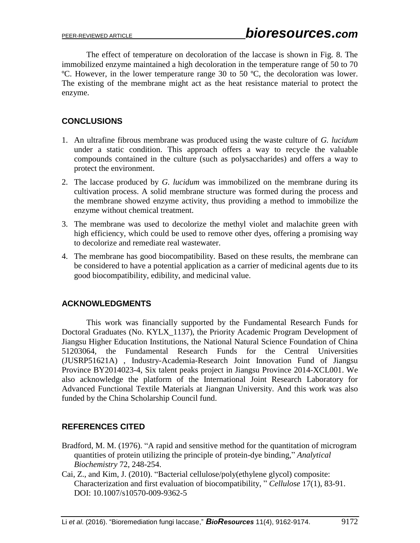The effect of temperature on decoloration of the laccase is shown in Fig. 8. The immobilized enzyme maintained a high decoloration in the temperature range of 50 to 70 ºC. However, in the lower temperature range 30 to 50 ºC, the decoloration was lower. The existing of the membrane might act as the heat resistance material to protect the enzyme.

## **CONCLUSIONS**

- 1. An ultrafine fibrous membrane was produced using the waste culture of *G. lucidum* under a static condition. This approach offers a way to recycle the valuable compounds contained in the culture (such as polysaccharides) and offers a way to protect the environment.
- 2. The laccase produced by *G. lucidum* was immobilized on the membrane during its cultivation process. A solid membrane structure was formed during the process and the membrane showed enzyme activity, thus providing a method to immobilize the enzyme without chemical treatment.
- 3. The membrane was used to decolorize the methyl violet and malachite green with high efficiency, which could be used to remove other dyes, offering a promising way to decolorize and remediate real wastewater.
- 4. The membrane has good biocompatibility. Based on these results, the membrane can be considered to have a potential application as a carrier of medicinal agents due to its good biocompatibility, edibility, and medicinal value.

## **ACKNOWLEDGMENTS**

This work was financially supported by the Fundamental Research Funds for Doctoral Graduates (No. KYLX\_1137), the Priority Academic Program Development of Jiangsu Higher Education Institutions, the National Natural Science Foundation of China 51203064, the Fundamental Research Funds for the Central Universities (JUSRP51621A) , Industry-Academia-Research Joint Innovation Fund of Jiangsu Province BY2014023-4, Six talent peaks project in Jiangsu Province 2014-XCL001. We also acknowledge the platform of the International Joint Research Laboratory for Advanced Functional Textile Materials at Jiangnan University. And this work was also funded by the China Scholarship Council fund.

## **REFERENCES CITED**

- Bradford, M. M. (1976). "A rapid and sensitive method for the quantitation of microgram quantities of protein utilizing the principle of protein-dye binding," *Analytical Biochemistry* 72, 248-254.
- Cai, Z., and Kim, J. (2010). "Bacterial cellulose/poly(ethylene glycol) composite: Characterization and first evaluation of biocompatibility, " *Cellulose* 17(1), 83-91. DOI: 10.1007/s10570-009-9362-5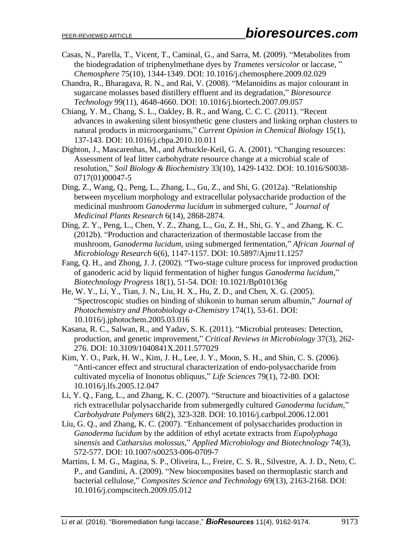- Casas, N., Parella, T., Vicent, T., Caminal, G., and Sarra, M. (2009). "Metabolites from the biodegradation of triphenylmethane dyes by *Trametes versicolor* or laccase, " *Chemosphere* 75(10), 1344-1349. DOI: 10.1016/j.chemosphere.2009.02.029
- Chandra, R., Bharagava, R. N., and Rai, V. (2008). "Melanoidins as major colourant in sugarcane molasses based distillery effluent and its degradation," *Bioresource Technology* 99(11), 4648-4660. DOI: 10.1016/j.biortech.2007.09.057
- Chiang, Y. M., Chang, S. L., Oakley, B. R., and Wang, C. C. C. (2011). "Recent advances in awakening silent biosynthetic gene clusters and linking orphan clusters to natural products in microorganisms," *Current Opinion in Chemical Biology* 15(1), 137-143. DOI: 10.1016/j.cbpa.2010.10.011
- Dighton, J., Mascarenhas, M., and Arbuckle-Keil, G. A. (2001). "Changing resources: Assessment of leaf litter carbohydrate resource change at a microbial scale of resolution," *Soil Biology & Biochemistry* 33(10), 1429-1432. DOI: 10.1016/S0038- 0717(01)00047-5
- Ding, Z., Wang, Q., Peng, L., Zhang, L., Gu, Z., and Shi, G. (2012a). "Relationship between mycelium morphology and extracellular polysaccharide production of the medicinal mushroom *Ganoderma lucidum* in submerged culture, " *Journal of Medicinal Plants Research* 6(14), 2868-2874.
- Ding, Z. Y., Peng, L., Chen, Y. Z., Zhang, L., Gu, Z. H., Shi, G. Y., and Zhang, K. C. (2012b). "Production and characterization of thermostable laccase from the mushroom, *Ganoderma lucidum*, using submerged fermentation," *African Journal of Microbiology Research* 6(6), 1147-1157. DOI: 10.5897/Ajmr11.1257
- Fang, Q. H., and Zhong, J. J. (2002). "Two-stage culture process for improved production of ganoderic acid by liquid fermentation of higher fungus *Ganoderma lucidum*," *Biotechnology Progress* 18(1), 51-54. DOI: 10.1021/Bp010136g
- He, W. Y., Li, Y., Tian, J. N., Liu, H. X., Hu, Z. D., and Chen, X. G. (2005). "Spectroscopic studies on binding of shikonin to human serum albumin," *Journal of Photochemistry and Photobiology a-Chemistry* 174(1), 53-61. DOI: 10.1016/j.jphotochem.2005.03.016
- Kasana, R. C., Salwan, R., and Yadav, S. K. (2011). "Microbial proteases: Detection, production, and genetic improvement," *Critical Reviews in Microbiology* 37(3), 262- 276. DOI: 10.3109/1040841X.2011.577029
- Kim, Y. O., Park, H. W., Kim, J. H., Lee, J. Y., Moon, S. H., and Shin, C. S. (2006). "Anti-cancer effect and structural characterization of endo-polysaccharide from cultivated mycelia of Inonotus obliquus," *Life Sciences* 79(1), 72-80. DOI: 10.1016/j.lfs.2005.12.047
- Li, Y. Q., Fang, L., and Zhang, K. C. (2007). "Structure and bioactivities of a galactose rich extracellular polysaccharide from submergedly cultured *Ganoderma lucidum*," *Carbohydrate Polymers* 68(2), 323-328. DOI: 10.1016/j.carbpol.2006.12.001
- Liu, G. Q., and Zhang, K. C. (2007). "Enhancement of polysaccharides production in *Ganoderma lucidum* by the addition of ethyl acetate extracts from *Eupolyphaga sinensis* and *Catharsius molossus*," *Applied Microbiology and Biotechnology* 74(3), 572-577. DOI: 10.1007/s00253-006-0709-7
- Martins, I. M. G., Magina, S. P., Oliveira, L., Freire, C. S. R., Silvestre, A. J. D., Neto, C. P., and Gandini, A. (2009). "New biocomposites based on thermoplastic starch and bacterial cellulose," *Composites Science and Technology* 69(13), 2163-2168. DOI: 10.1016/j.compscitech.2009.05.012